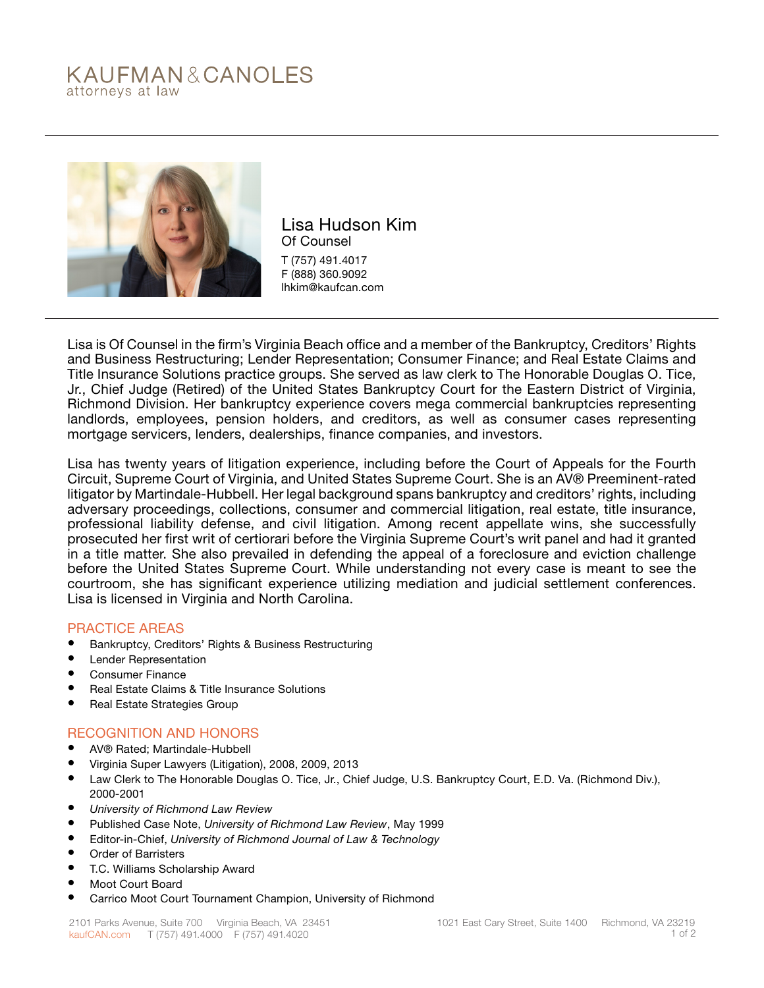# KAUFMAN&CANOLES attorneys at law



Lisa Hudson Kim Of Counsel T (757) 491.4017 F (888) 360.9092 lhkim@kaufcan.com

Lisa is Of Counsel in the firm's Virginia Beach office and a member of the Bankruptcy, Creditors' Rights and Business Restructuring; Lender Representation; Consumer Finance; and Real Estate Claims and Title Insurance Solutions practice groups. She served as law clerk to The Honorable Douglas O. Tice, Jr., Chief Judge (Retired) of the United States Bankruptcy Court for the Eastern District of Virginia, Richmond Division. Her bankruptcy experience covers mega commercial bankruptcies representing landlords, employees, pension holders, and creditors, as well as consumer cases representing mortgage servicers, lenders, dealerships, finance companies, and investors.

Lisa has twenty years of litigation experience, including before the Court of Appeals for the Fourth Circuit, Supreme Court of Virginia, and United States Supreme Court. She is an AV® Preeminent-rated litigator by Martindale-Hubbell. Her legal background spans bankruptcy and creditors' rights, including adversary proceedings, collections, consumer and commercial litigation, real estate, title insurance, professional liability defense, and civil litigation. Among recent appellate wins, she successfully prosecuted her first writ of certiorari before the Virginia Supreme Court's writ panel and had it granted in a title matter. She also prevailed in defending the appeal of a foreclosure and eviction challenge before the United States Supreme Court. While understanding not every case is meant to see the courtroom, she has significant experience utilizing mediation and judicial settlement conferences. Lisa is licensed in Virginia and North Carolina.

### PRACTICE AREAS

- Bankruptcy, Creditors' Rights & Business Restructuring
- **Lender Representation**
- Consumer Finance
- Real Estate Claims & Title Insurance Solutions
- Real Estate Strategies Group

### RECOGNITION AND HONORS

- AV® Rated; Martindale-Hubbell
- Virginia Super Lawyers (Litigation), 2008, 2009, 2013
- Law Clerk to The Honorable Douglas O. Tice, Jr., Chief Judge, U.S. Bankruptcy Court, E.D. Va. (Richmond Div.), 2000-2001
- *• University of Richmond Law Review*
- Published Case Note, *University of Richmond Law Review*, May 1999
- Editor-in-Chief, *University of Richmond Journal of Law & Technology*
- Order of Barristers
- T.C. Williams Scholarship Award
- Moot Court Board
- Carrico Moot Court Tournament Champion, University of Richmond